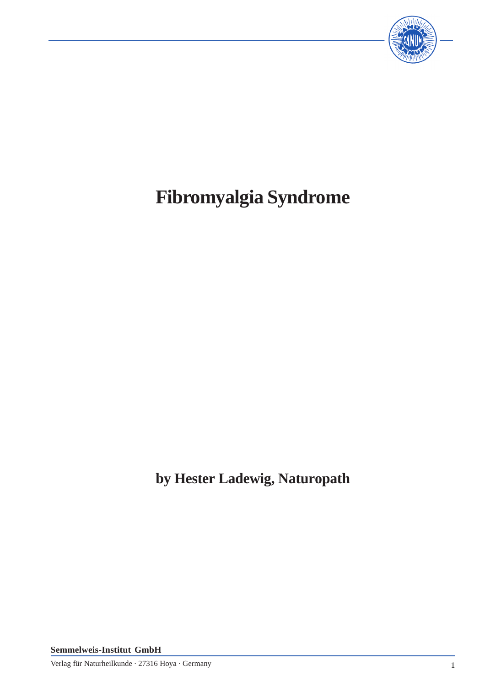

# **Fibromyalgia Syndrome**

**by Hester Ladewig, Naturopath**

**Semmelweis-Institut GmbH**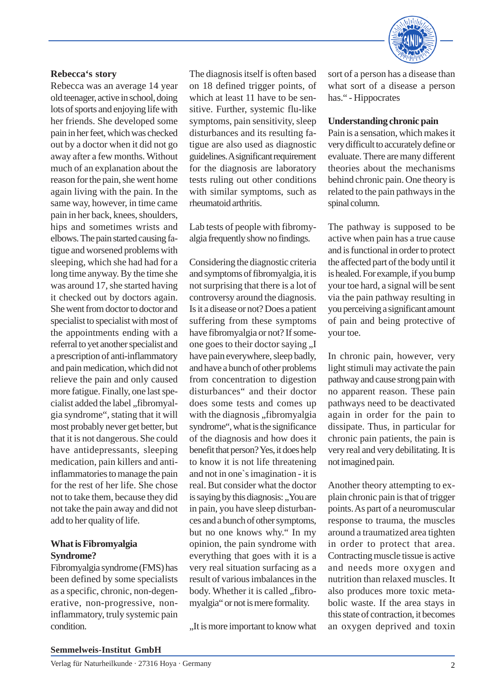

#### **Rebecca's story**

Rebecca was an average 14 year old teenager, active in school, doing lots of sports and enjoying life with her friends. She developed some pain in her feet, which was checked out by a doctor when it did not go away after a few months. Without much of an explanation about the reason for the pain, she went home again living with the pain. In the same way, however, in time came pain in her back, knees, shoulders, hips and sometimes wrists and elbows. The pain started causing fatigue and worsened problems with sleeping, which she had had for a long time anyway. By the time she was around 17, she started having it checked out by doctors again. She went from doctor to doctor and specialist to specialist with most of the appointments ending with a referral to yet another specialist and a prescription of anti-inflammatory and pain medication, which did not relieve the pain and only caused more fatigue. Finally, one last specialist added the label "fibromyalgia syndrome", stating that it will most probably never get better, but that it is not dangerous. She could have antidepressants, sleeping medication, pain killers and antiinflammatories to manage the pain for the rest of her life. She chose not to take them, because they did not take the pain away and did not add to her quality of life.

# **What is Fibromyalgia Syndrome?**

Fibromyalgia syndrome (FMS) has been defined by some specialists as a specific, chronic, non-degenerative, non-progressive, noninflammatory, truly systemic pain condition.

The diagnosis itself is often based on 18 defined trigger points, of which at least 11 have to be sensitive. Further, systemic flu-like symptoms, pain sensitivity, sleep disturbances and its resulting fatigue are also used as diagnostic guidelines. A significant requirement for the diagnosis are laboratory tests ruling out other conditions with similar symptoms, such as rheumatoid arthritis.

Lab tests of people with fibromyalgia frequently show no findings.

Considering the diagnostic criteria and symptoms of fibromyalgia, it is not surprising that there is a lot of controversy around the diagnosis. Is it a disease or not? Does a patient suffering from these symptoms have fibromyalgia or not? If someone goes to their doctor saying ,,I have pain everywhere, sleep badly, and have a bunch of other problems from concentration to digestion disturbances" and their doctor does some tests and comes up with the diagnosis "fibromyalgia syndrome", what is the significance of the diagnosis and how does it benefit that person? Yes, it does help to know it is not life threatening and not in one`s imagination - it is real. But consider what the doctor is saying by this diagnosis: "You are in pain, you have sleep disturbances and a bunch of other symptoms, but no one knows why." In my opinion, the pain syndrome with everything that goes with it is a very real situation surfacing as a result of various imbalances in the body. Whether it is called "fibromyalgia" or not is mere formality.

, It is more important to know what

sort of a person has a disease than what sort of a disease a person has." - Hippocrates

## **Understanding chronic pain**

Pain is a sensation, which makes it very difficult to accurately define or evaluate. There are many different theories about the mechanisms behind chronic pain. One theory is related to the pain pathways in the spinal column.

The pathway is supposed to be active when pain has a true cause and is functional in order to protect the affected part of the body until it is healed. For example, if you bump your toe hard, a signal will be sent via the pain pathway resulting in you perceiving a significant amount of pain and being protective of your toe.

In chronic pain, however, very light stimuli may activate the pain pathway and cause strong pain with no apparent reason. These pain pathways need to be deactivated again in order for the pain to dissipate. Thus, in particular for chronic pain patients, the pain is very real and very debilitating. It is not imagined pain.

Another theory attempting to explain chronic pain is that of trigger points. As part of a neuromuscular response to trauma, the muscles around a traumatized area tighten in order to protect that area. Contracting muscle tissue is active and needs more oxygen and nutrition than relaxed muscles. It also produces more toxic metabolic waste. If the area stays in this state of contraction, it becomes an oxygen deprived and toxin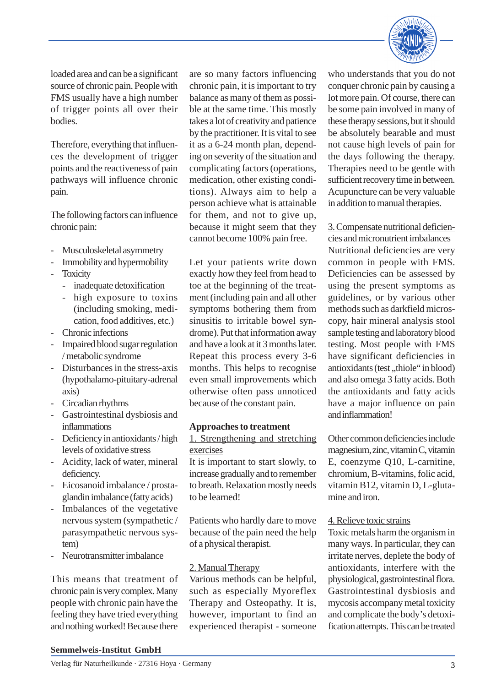

loaded area and can be a significant source of chronic pain. People with FMS usually have a high number of trigger points all over their bodies.

Therefore, everything that influences the development of trigger points and the reactiveness of pain pathways will influence chronic pain.

The following factors can influence chronic pain:

- Musculoskeletal asymmetry
- Immobility and hypermobility
- **Toxicity** 
	- inadequate detoxification
	- high exposure to toxins (including smoking, medication, food additives, etc.)
- Chronic infections
- Impaired blood sugar regulation / metabolic syndrome
- Disturbances in the stress-axis (hypothalamo-pituitary-adrenal axis)
- Circadian rhythms
- Gastrointestinal dysbiosis and inflammations
- Deficiency in antioxidants / high levels of oxidative stress
- Acidity, lack of water, mineral deficiency.
- Eicosanoid imbalance / prostaglandin imbalance (fatty acids)
- Imbalances of the vegetative nervous system (sympathetic / parasympathetic nervous system)
- Neurotransmitter imbalance

This means that treatment of chronic pain is very complex. Many people with chronic pain have the feeling they have tried everything and nothing worked! Because there

are so many factors influencing chronic pain, it is important to try balance as many of them as possible at the same time. This mostly takes a lot of creativity and patience by the practitioner. It is vital to see it as a 6-24 month plan, depending on severity of the situation and complicating factors (operations, medication, other existing conditions). Always aim to help a person achieve what is attainable for them, and not to give up, because it might seem that they cannot become 100% pain free.

Let your patients write down exactly how they feel from head to toe at the beginning of the treatment (including pain and all other symptoms bothering them from sinusitis to irritable bowel syndrome). Put that information away and have a look at it 3 months later. Repeat this process every 3-6 months. This helps to recognise even small improvements which otherwise often pass unnoticed because of the constant pain.

#### **Approaches to treatment**

1. Strengthening and stretching exercises

It is important to start slowly, to increase gradually and to remember to breath. Relaxation mostly needs to be learned!

Patients who hardly dare to move because of the pain need the help of a physical therapist.

#### 2. Manual Therapy

Various methods can be helpful, such as especially Myoreflex Therapy and Osteopathy. It is, however, important to find an experienced therapist - someone

who understands that you do not conquer chronic pain by causing a lot more pain. Of course, there can be some pain involved in many of these therapy sessions, but it should be absolutely bearable and must not cause high levels of pain for the days following the therapy. Therapies need to be gentle with sufficient recovery time in between. Acupuncture can be very valuable in addition to manual therapies.

3. Compensate nutritional deficiencies and micronutrient imbalances

Nutritional deficiencies are very common in people with FMS. Deficiencies can be assessed by using the present symptoms as guidelines, or by various other methods such as darkfield microscopy, hair mineral analysis stool sample testing and laboratory blood testing. Most people with FMS have significant deficiencies in antioxidants (test, thiole" in blood) and also omega 3 fatty acids. Both the antioxidants and fatty acids have a major influence on pain and inflammation!

Other common deficiencies include magnesium, zinc, vitamin C, vitamin E, coenzyme Q10, L-carnitine, chromium, B-vitamins, folic acid, vitamin B12, vitamin D, L-glutamine and iron.

#### 4. Relieve toxic strains

Toxic metals harm the organism in many ways. In particular, they can irritate nerves, deplete the body of antioxidants, interfere with the physiological, gastrointestinal flora. Gastrointestinal dysbiosis and mycosis accompany metal toxicity and complicate the body's detoxification attempts. This can be treated

#### **Semmelweis-Institut GmbH**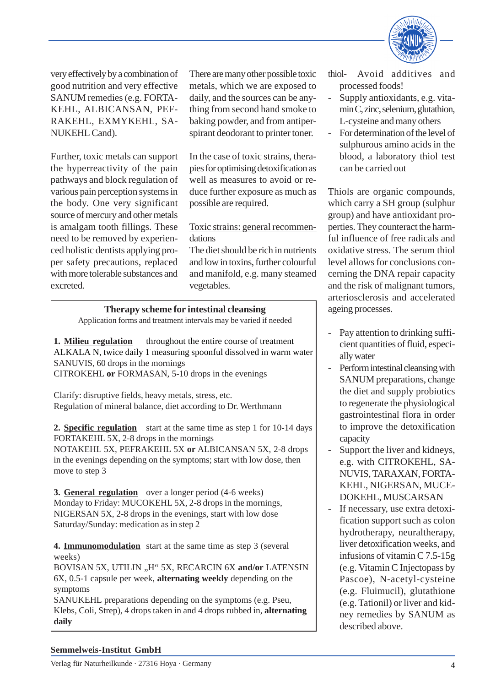

very effectively by a combination of good nutrition and very effective SANUM remedies (e.g. FORTA-KEHL, ALBICANSAN, PEF-RAKEHL, EXMYKEHL, SA-NUKEHL Cand).

Further, toxic metals can support the hyperreactivity of the pain pathways and block regulation of various pain perception systems in the body. One very significant source of mercury and other metals is amalgam tooth fillings. These need to be removed by experienced holistic dentists applying proper safety precautions, replaced with more tolerable substances and excreted.

There are many other possible toxic metals, which we are exposed to daily, and the sources can be anything from second hand smoke to baking powder, and from antiperspirant deodorant to printer toner.

In the case of toxic strains, therapies for optimising detoxification as well as measures to avoid or reduce further exposure as much as possible are required.

## Toxic strains: general recommendations

The diet should be rich in nutrients and low in toxins, further colourful and manifold, e.g. many steamed vegetables.

#### **Therapy scheme for intestinal cleansing**

Application forms and treatment intervals may be varied if needed

**1. Milieu regulation** throughout the entire course of treatment ALKALA N, twice daily 1 measuring spoonful dissolved in warm water SANUVIS, 60 drops in the mornings CITROKEHL **or** FORMASAN, 5-10 drops in the evenings

Clarify: disruptive fields, heavy metals, stress, etc. Regulation of mineral balance, diet according to Dr. Werthmann

**2. Specific regulation** start at the same time as step 1 for 10-14 days FORTAKEHL 5X, 2-8 drops in the mornings

NOTAKEHL 5X, PEFRAKEHL 5X **or** ALBICANSAN 5X, 2-8 drops in the evenings depending on the symptoms; start with low dose, then move to step 3

**3. General regulation** over a longer period (4-6 weeks) Monday to Friday: MUCOKEHL 5X, 2-8 drops in the mornings, NIGERSAN 5X, 2-8 drops in the evenings, start with low dose Saturday/Sunday: medication as in step 2

**4. Immunomodulation** start at the same time as step 3 (several weeks)

BOVISAN 5X, UTILIN "H" 5X, RECARCIN 6X and/or LATENSIN 6X, 0.5-1 capsule per week, **alternating weekly** depending on the symptoms

SANUKEHL preparations depending on the symptoms (e.g. Pseu, Klebs, Coli, Strep), 4 drops taken in and 4 drops rubbed in, **alternating daily**

thiol- Avoid additives and processed foods!

- Supply antioxidants, e.g. vitamin C, zinc, selenium, glutathion, L-cysteine and many others
- For determination of the level of sulphurous amino acids in the blood, a laboratory thiol test can be carried out

Thiols are organic compounds, which carry a SH group (sulphur group) and have antioxidant properties. They counteract the harmful influence of free radicals and oxidative stress. The serum thiol level allows for conclusions concerning the DNA repair capacity and the risk of malignant tumors, arteriosclerosis and accelerated ageing processes.

- Pay attention to drinking sufficient quantities of fluid, especially water
- Perform intestinal cleansing with SANUM preparations, change the diet and supply probiotics to regenerate the physiological gastrointestinal flora in order to improve the detoxification capacity
- Support the liver and kidneys, e.g. with CITROKEHL, SA-NUVIS, TARAXAN, FORTA-KEHL, NIGERSAN, MUCE-DOKEHL, MUSCARSAN
- If necessary, use extra detoxification support such as colon hydrotherapy, neuraltherapy, liver detoxification weeks, and infusions of vitamin C 7.5-15g (e.g. Vitamin C Injectopass by Pascoe), N-acetyl-cysteine (e.g. Fluimucil), glutathione (e.g. Tationil) or liver and kidney remedies by SANUM as described above.

#### **Semmelweis-Institut GmbH**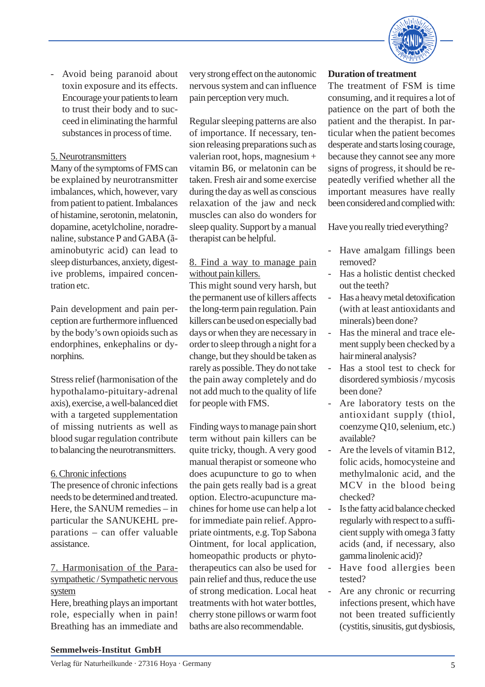

- Avoid being paranoid about toxin exposure and its effects. Encourage your patients to learn to trust their body and to succeed in eliminating the harmful substances in process of time.

# 5. Neurotransmitters

Many of the symptoms of FMS can be explained by neurotransmitter imbalances, which, however, vary from patient to patient. Imbalances of histamine, serotonin, melatonin, dopamine, acetylcholine, noradrenaline, substance P and GABA (ãaminobutyric acid) can lead to sleep disturbances, anxiety, digestive problems, impaired concentration etc.

Pain development and pain perception are furthermore influenced by the body's own opioids such as endorphines, enkephalins or dynorphins.

Stress relief (harmonisation of the hypothalamo-pituitary-adrenal axis), exercise, a well-balanced diet with a targeted supplementation of missing nutrients as well as blood sugar regulation contribute to balancing the neurotransmitters.

# 6. Chronic infections

The presence of chronic infections needs to be determined and treated. Here, the SANUM remedies – in particular the SANUKEHL preparations – can offer valuable assistance.

# 7. Harmonisation of the Parasympathetic / Sympathetic nervous system

Here, breathing plays an important role, especially when in pain! Breathing has an immediate and

very strong effect on the autonomic nervous system and can influence pain perception very much.

Regular sleeping patterns are also of importance. If necessary, tension releasing preparations such as valerian root, hops, magnesium + vitamin B6, or melatonin can be taken. Fresh air and some exercise during the day as well as conscious relaxation of the jaw and neck muscles can also do wonders for sleep quality. Support by a manual therapist can be helpful.

# 8. Find a way to manage pain without pain killers.

This might sound very harsh, but the permanent use of killers affects the long-term pain regulation. Pain killers can be used on especially bad days or when they are necessary in order to sleep through a night for a change, but they should be taken as rarely as possible. They do not take the pain away completely and do not add much to the quality of life for people with FMS.

Finding ways to manage pain short term without pain killers can be quite tricky, though. A very good manual therapist or someone who does acupuncture to go to when the pain gets really bad is a great option. Electro-acupuncture machines for home use can help a lot for immediate pain relief. Appropriate ointments, e.g. Top Sabona Ointment, for local application, homeopathic products or phytotherapeutics can also be used for pain relief and thus, reduce the use of strong medication. Local heat treatments with hot water bottles, cherry stone pillows or warm foot baths are also recommendable.

# **Duration of treatment**

The treatment of FSM is time consuming, and it requires a lot of patience on the part of both the patient and the therapist. In particular when the patient becomes desperate and starts losing courage, because they cannot see any more signs of progress, it should be repeatedly verified whether all the important measures have really been considered and complied with:

Have you really tried everything?

- Have amalgam fillings been removed?
- Has a holistic dentist checked out the teeth?
- Has a heavy metal detoxification (with at least antioxidants and minerals) been done?
- Has the mineral and trace element supply been checked by a hair mineral analysis?
- Has a stool test to check for disordered symbiosis / mycosis been done?
- Are laboratory tests on the antioxidant supply (thiol, coenzyme Q10, selenium, etc.) available?
- Are the levels of vitamin B12, folic acids, homocysteine and methylmalonic acid, and the MCV in the blood being checked?
- Is the fatty acid balance checked regularly with respect to a sufficient supply with omega 3 fatty acids (and, if necessary, also gamma linolenic acid)?
- Have food allergies been tested?
- Are any chronic or recurring infections present, which have not been treated sufficiently (cystitis, sinusitis, gut dysbiosis,